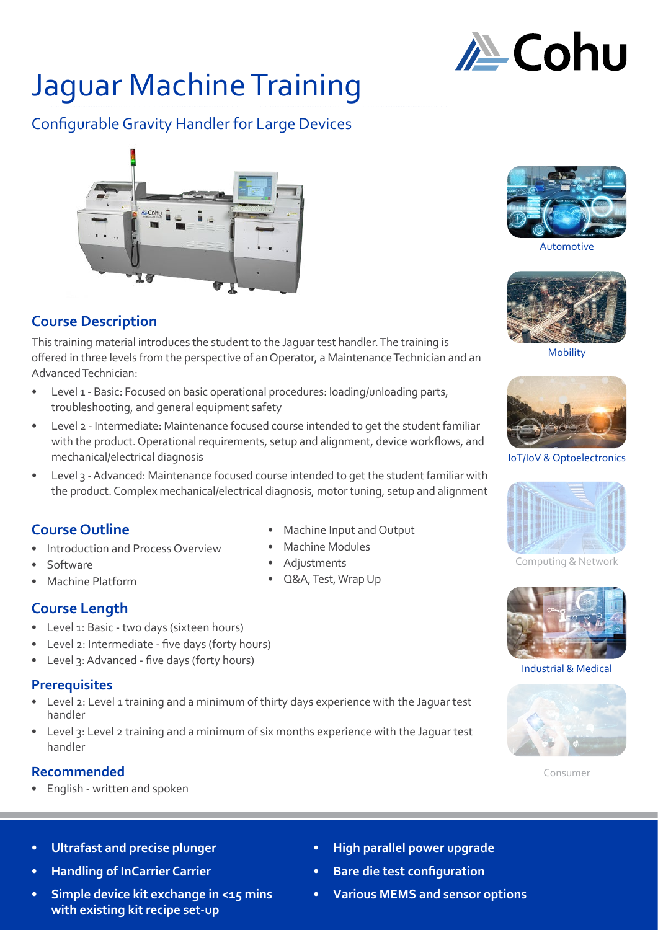

# Jaguar Machine Training

# Configurable Gravity Handler for Large Devices



# **Course Description**

This training material introduces the student to the Jaguar test handler. The training is offered in three levels from the perspective of an Operator, a Maintenance Technician and an Advanced Technician:

- Level 1 Basic: Focused on basic operational procedures: loading/unloading parts, troubleshooting, and general equipment safety
- Level 2 Intermediate: Maintenance focused course intended to get the student familiar with the product. Operational requirements, setup and alignment, device workflows, and mechanical/electrical diagnosis
- Level 3 Advanced: Maintenance focused course intended to get the student familiar with the product. Complex mechanical/electrical diagnosis, motor tuning, setup and alignment

## **Course Outline**

- Introduction and Process Overview
- Software
- Machine Platform
- 

## **Course Length**

- Level 1: Basic two days (sixteen hours)
- Level 2: Intermediate five days (forty hours)
- Level 3: Advanced five days (forty hours)

## **Prerequisites**

- Level 2: Level 1 training and a minimum of thirty days experience with the Jaguar test handler
- Level 3: Level 2 training and a minimum of six months experience with the Jaguar test handler

## **Recommended**

• English - written and spoken

- Machine Input and Output
- Machine Modules
- Adjustments
- 



Automotive



Mobility



IoT/IoV & Optoelectronics



Computing & Network



Industrial & Medical



Consumer

- **• Ultrafast and precise plunger**
- **• Handling of InCarrier Carrier**
- **• Simple device kit exchange in <15 mins with existing kit recipe set-up**
- **• High parallel power upgrade**
- **• Bare die test configuration**
- **• Various MEMS and sensor options**
- 
- 
- 
- Q&A, Test, Wrap Up
-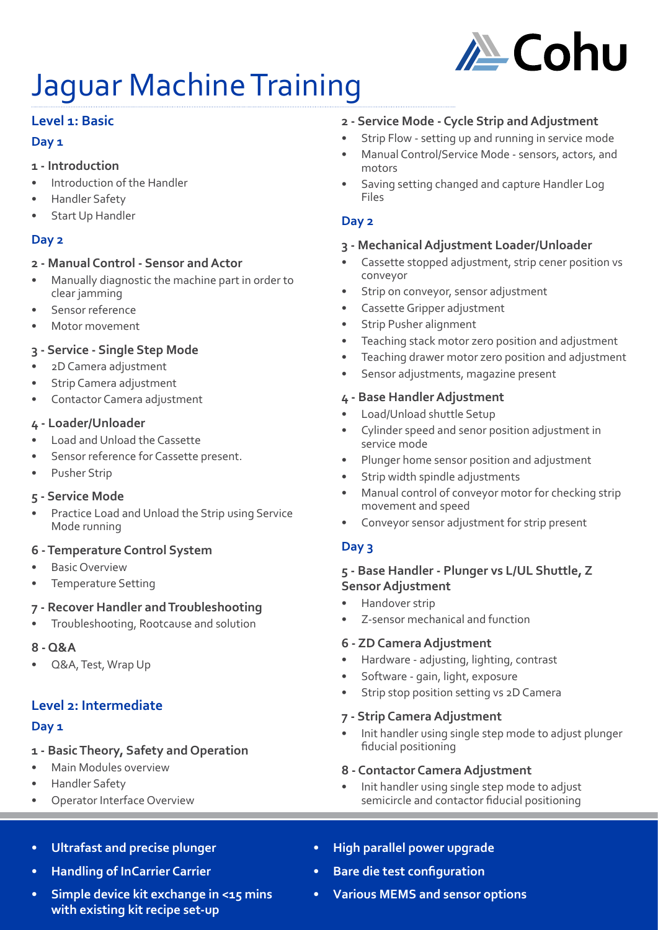

# Jaguar Machine Training

## **Level 1: Basic**

### **Day 1**

### **1 - Introduction**

- Introduction of the Handler
- Handler Safety
- Start Up Handler

## **Day 2**

### **2 - Manual Control - Sensor and Actor**

- Manually diagnostic the machine part in order to clear jamming
- Sensor reference
- Motor movement

## **3 - Service - Single Step Mode**

- 2D Camera adjustment
- Strip Camera adjustment
- Contactor Camera adjustment

## **4 - Loader/Unloader**

- Load and Unload the Cassette
- Sensor reference for Cassette present.
- Pusher Strip

## **5 - Service Mode**

Practice Load and Unload the Strip using Service Mode running

## **6 - Temperature Control System**

- **Basic Overview**
- Temperature Setting

## **7 - Recover Handler and Troubleshooting**

• Troubleshooting, Rootcause and solution

## **8 - Q&A**

• Q&A, Test, Wrap Up

## **Level 2: Intermediate**

## **Day 1**

## **1 - Basic Theory, Safety and Operation**

- Main Modules overview
- Handler Safety
- **Operator Interface Overview**

## **2 - Service Mode - Cycle Strip and Adjustment**

- Strip Flow setting up and running in service mode
- Manual Control/Service Mode sensors, actors, and motors
- Saving setting changed and capture Handler Log Files

## **Day 2**

## **3 - Mechanical Adjustment Loader/Unloader**

- Cassette stopped adjustment, strip cener position vs conveyor
- Strip on conveyor, sensor adjustment
- Cassette Gripper adjustment
- Strip Pusher alignment
- Teaching stack motor zero position and adjustment
- Teaching drawer motor zero position and adjustment
- Sensor adjustments, magazine present

### **4 - Base Handler Adjustment**

- Load/Unload shuttle Setup
- Cylinder speed and senor position adjustment in service mode
- Plunger home sensor position and adjustment
- Strip width spindle adjustments
- Manual control of conveyor motor for checking strip movement and speed
- Conveyor sensor adjustment for strip present

## **Day 3**

### **5 - Base Handler - Plunger vs L/UL Shuttle, Z Sensor Adjustment**

- Handover strip
- Z-sensor mechanical and function

## **6 - ZD Camera Adjustment**

- Hardware adjusting, lighting, contrast
- Software gain, light, exposure
- Strip stop position setting vs 2D Camera

### **7 - Strip Camera Adjustment**

• Init handler using single step mode to adjust plunger fiducial positioning

## **8 - Contactor Camera Adjustment**

• Init handler using single step mode to adjust semicircle and contactor fiducial positioning

- **• Ultrafast and precise plunger**
- **• Handling of InCarrier Carrier**
- **• Simple device kit exchange in <15 mins with existing kit recipe set-up**
- **• High parallel power upgrade**
- **• Bare die test configuration**
- **• Various MEMS and sensor options**